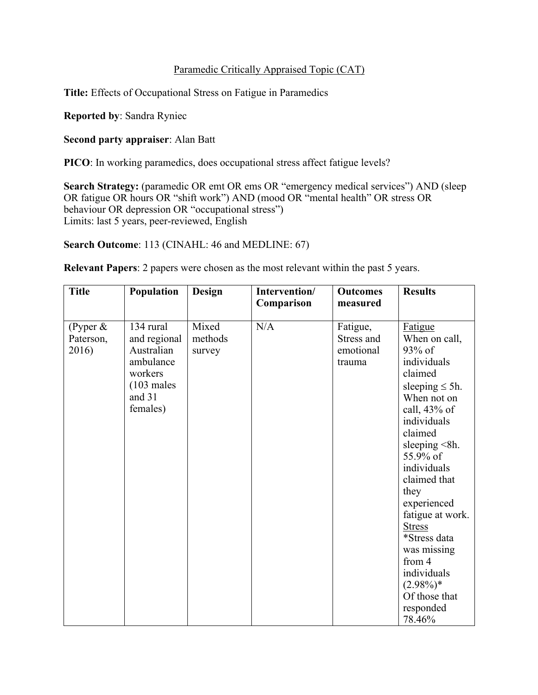## Paramedic Critically Appraised Topic (CAT)

**Title:** Effects of Occupational Stress on Fatigue in Paramedics

**Reported by**: Sandra Ryniec

**Second party appraiser**: Alan Batt

**PICO**: In working paramedics, does occupational stress affect fatigue levels?

**Search Strategy:** (paramedic OR emt OR ems OR "emergency medical services") AND (sleep OR fatigue OR hours OR "shift work") AND (mood OR "mental health" OR stress OR behaviour OR depression OR "occupational stress") Limits: last 5 years, peer-reviewed, English

**Search Outcome**: 113 (CINAHL: 46 and MEDLINE: 67)

**Relevant Papers**: 2 papers were chosen as the most relevant within the past 5 years.

| <b>Title</b>                     | Population                                                                                                     | <b>Design</b>              | Intervention/<br>Comparison | <b>Outcomes</b><br>measured                   | <b>Results</b>                                                                                                                                                                                                     |
|----------------------------------|----------------------------------------------------------------------------------------------------------------|----------------------------|-----------------------------|-----------------------------------------------|--------------------------------------------------------------------------------------------------------------------------------------------------------------------------------------------------------------------|
| (Pyper $&$<br>Paterson,<br>2016) | 134 rural<br>and regional<br>Australian<br>ambulance<br>workers<br>$(103 \text{ males})$<br>and 31<br>females) | Mixed<br>methods<br>survey | N/A                         | Fatigue,<br>Stress and<br>emotional<br>trauma | Fatigue<br>When on call,<br>$93\%$ of<br>individuals<br>claimed<br>sleeping $\leq 5h$ .<br>When not on<br>call, $43\%$ of<br>individuals<br>claimed<br>sleeping $\leq 8h$ .                                        |
|                                  |                                                                                                                |                            |                             |                                               | 55.9% of<br>individuals<br>claimed that<br>they<br>experienced<br>fatigue at work.<br><b>Stress</b><br>*Stress data<br>was missing<br>from 4<br>individuals<br>$(2.98\%)*$<br>Of those that<br>responded<br>78.46% |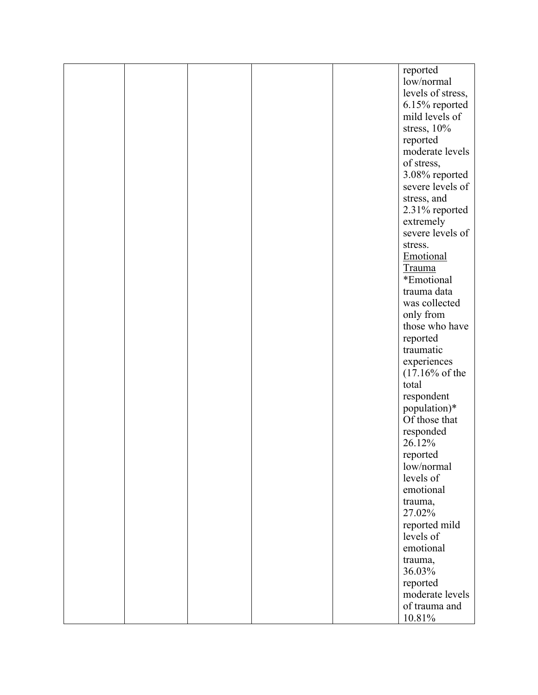|  |  | reported                  |
|--|--|---------------------------|
|  |  | low/normal                |
|  |  | levels of stress,         |
|  |  | 6.15% reported            |
|  |  | mild levels of            |
|  |  | stress, 10%               |
|  |  |                           |
|  |  | reported                  |
|  |  | moderate levels           |
|  |  | of stress,                |
|  |  | 3.08% reported            |
|  |  | severe levels of          |
|  |  | stress, and               |
|  |  | 2.31% reported            |
|  |  | extremely                 |
|  |  | severe levels of          |
|  |  | stress.                   |
|  |  | Emotional                 |
|  |  |                           |
|  |  | <b>Trauma</b>             |
|  |  | *Emotional                |
|  |  | trauma data               |
|  |  | was collected             |
|  |  | only from                 |
|  |  | those who have            |
|  |  | reported                  |
|  |  | traumatic                 |
|  |  | experiences               |
|  |  | $(17.16\% \text{ of the}$ |
|  |  | total                     |
|  |  | respondent                |
|  |  | population)*              |
|  |  | Of those that             |
|  |  |                           |
|  |  | responded                 |
|  |  | 26.12%                    |
|  |  | reported                  |
|  |  | low/normal                |
|  |  | levels of                 |
|  |  | emotional                 |
|  |  | trauma,                   |
|  |  | 27.02%                    |
|  |  | reported mild             |
|  |  | levels of                 |
|  |  | emotional                 |
|  |  | trauma,                   |
|  |  | 36.03%                    |
|  |  | reported                  |
|  |  |                           |
|  |  | moderate levels           |
|  |  | of trauma and             |
|  |  | $10.81\%$                 |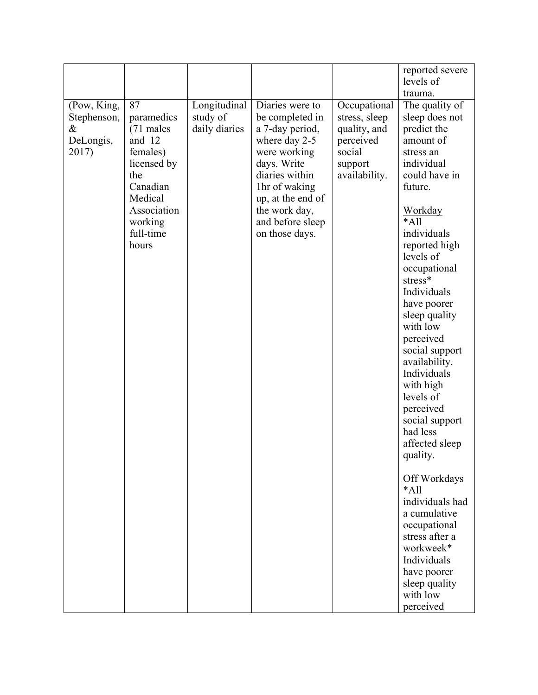| reported severe<br>levels of<br>trauma.<br>(Pow, King,<br>87<br>Longitudinal<br>Diaries were to<br>Occupational<br>The quality of<br>study of<br>paramedics<br>be completed in<br>stress, sleep<br>sleep does not<br>Stephenson,<br>$\&$<br>(71 males<br>daily diaries<br>a 7-day period,<br>quality, and<br>predict the<br>and 12<br>DeLongis,<br>where day 2-5<br>perceived<br>amount of<br>females)<br>2017)<br>social<br>were working<br>stress an<br>days. Write<br>individual<br>licensed by<br>support<br>could have in<br>the<br>diaries within<br>availability.<br>Canadian<br>1hr of waking<br>future.<br>Medical<br>up, at the end of<br>Association<br>the work day,<br><b>Workday</b><br>$*$ All<br>working<br>and before sleep<br>individuals<br>full-time<br>on those days.<br>reported high<br>hours<br>levels of<br>occupational<br>stress*<br>Individuals |  |  |  |
|-----------------------------------------------------------------------------------------------------------------------------------------------------------------------------------------------------------------------------------------------------------------------------------------------------------------------------------------------------------------------------------------------------------------------------------------------------------------------------------------------------------------------------------------------------------------------------------------------------------------------------------------------------------------------------------------------------------------------------------------------------------------------------------------------------------------------------------------------------------------------------|--|--|--|
|                                                                                                                                                                                                                                                                                                                                                                                                                                                                                                                                                                                                                                                                                                                                                                                                                                                                             |  |  |  |
|                                                                                                                                                                                                                                                                                                                                                                                                                                                                                                                                                                                                                                                                                                                                                                                                                                                                             |  |  |  |
|                                                                                                                                                                                                                                                                                                                                                                                                                                                                                                                                                                                                                                                                                                                                                                                                                                                                             |  |  |  |
|                                                                                                                                                                                                                                                                                                                                                                                                                                                                                                                                                                                                                                                                                                                                                                                                                                                                             |  |  |  |
|                                                                                                                                                                                                                                                                                                                                                                                                                                                                                                                                                                                                                                                                                                                                                                                                                                                                             |  |  |  |
|                                                                                                                                                                                                                                                                                                                                                                                                                                                                                                                                                                                                                                                                                                                                                                                                                                                                             |  |  |  |
|                                                                                                                                                                                                                                                                                                                                                                                                                                                                                                                                                                                                                                                                                                                                                                                                                                                                             |  |  |  |
|                                                                                                                                                                                                                                                                                                                                                                                                                                                                                                                                                                                                                                                                                                                                                                                                                                                                             |  |  |  |
|                                                                                                                                                                                                                                                                                                                                                                                                                                                                                                                                                                                                                                                                                                                                                                                                                                                                             |  |  |  |
|                                                                                                                                                                                                                                                                                                                                                                                                                                                                                                                                                                                                                                                                                                                                                                                                                                                                             |  |  |  |
|                                                                                                                                                                                                                                                                                                                                                                                                                                                                                                                                                                                                                                                                                                                                                                                                                                                                             |  |  |  |
|                                                                                                                                                                                                                                                                                                                                                                                                                                                                                                                                                                                                                                                                                                                                                                                                                                                                             |  |  |  |
|                                                                                                                                                                                                                                                                                                                                                                                                                                                                                                                                                                                                                                                                                                                                                                                                                                                                             |  |  |  |
|                                                                                                                                                                                                                                                                                                                                                                                                                                                                                                                                                                                                                                                                                                                                                                                                                                                                             |  |  |  |
|                                                                                                                                                                                                                                                                                                                                                                                                                                                                                                                                                                                                                                                                                                                                                                                                                                                                             |  |  |  |
|                                                                                                                                                                                                                                                                                                                                                                                                                                                                                                                                                                                                                                                                                                                                                                                                                                                                             |  |  |  |
|                                                                                                                                                                                                                                                                                                                                                                                                                                                                                                                                                                                                                                                                                                                                                                                                                                                                             |  |  |  |
|                                                                                                                                                                                                                                                                                                                                                                                                                                                                                                                                                                                                                                                                                                                                                                                                                                                                             |  |  |  |
|                                                                                                                                                                                                                                                                                                                                                                                                                                                                                                                                                                                                                                                                                                                                                                                                                                                                             |  |  |  |
|                                                                                                                                                                                                                                                                                                                                                                                                                                                                                                                                                                                                                                                                                                                                                                                                                                                                             |  |  |  |
|                                                                                                                                                                                                                                                                                                                                                                                                                                                                                                                                                                                                                                                                                                                                                                                                                                                                             |  |  |  |
| have poorer                                                                                                                                                                                                                                                                                                                                                                                                                                                                                                                                                                                                                                                                                                                                                                                                                                                                 |  |  |  |
| sleep quality                                                                                                                                                                                                                                                                                                                                                                                                                                                                                                                                                                                                                                                                                                                                                                                                                                                               |  |  |  |
| with low                                                                                                                                                                                                                                                                                                                                                                                                                                                                                                                                                                                                                                                                                                                                                                                                                                                                    |  |  |  |
| perceived                                                                                                                                                                                                                                                                                                                                                                                                                                                                                                                                                                                                                                                                                                                                                                                                                                                                   |  |  |  |
| social support                                                                                                                                                                                                                                                                                                                                                                                                                                                                                                                                                                                                                                                                                                                                                                                                                                                              |  |  |  |
| availability.                                                                                                                                                                                                                                                                                                                                                                                                                                                                                                                                                                                                                                                                                                                                                                                                                                                               |  |  |  |
| Individuals                                                                                                                                                                                                                                                                                                                                                                                                                                                                                                                                                                                                                                                                                                                                                                                                                                                                 |  |  |  |
| with high                                                                                                                                                                                                                                                                                                                                                                                                                                                                                                                                                                                                                                                                                                                                                                                                                                                                   |  |  |  |
| levels of                                                                                                                                                                                                                                                                                                                                                                                                                                                                                                                                                                                                                                                                                                                                                                                                                                                                   |  |  |  |
| perceived                                                                                                                                                                                                                                                                                                                                                                                                                                                                                                                                                                                                                                                                                                                                                                                                                                                                   |  |  |  |
| social support                                                                                                                                                                                                                                                                                                                                                                                                                                                                                                                                                                                                                                                                                                                                                                                                                                                              |  |  |  |
| had less                                                                                                                                                                                                                                                                                                                                                                                                                                                                                                                                                                                                                                                                                                                                                                                                                                                                    |  |  |  |
| affected sleep                                                                                                                                                                                                                                                                                                                                                                                                                                                                                                                                                                                                                                                                                                                                                                                                                                                              |  |  |  |
| quality.                                                                                                                                                                                                                                                                                                                                                                                                                                                                                                                                                                                                                                                                                                                                                                                                                                                                    |  |  |  |
|                                                                                                                                                                                                                                                                                                                                                                                                                                                                                                                                                                                                                                                                                                                                                                                                                                                                             |  |  |  |
| Off Workdays                                                                                                                                                                                                                                                                                                                                                                                                                                                                                                                                                                                                                                                                                                                                                                                                                                                                |  |  |  |
| $*$ All                                                                                                                                                                                                                                                                                                                                                                                                                                                                                                                                                                                                                                                                                                                                                                                                                                                                     |  |  |  |
| individuals had                                                                                                                                                                                                                                                                                                                                                                                                                                                                                                                                                                                                                                                                                                                                                                                                                                                             |  |  |  |
| a cumulative                                                                                                                                                                                                                                                                                                                                                                                                                                                                                                                                                                                                                                                                                                                                                                                                                                                                |  |  |  |
| occupational                                                                                                                                                                                                                                                                                                                                                                                                                                                                                                                                                                                                                                                                                                                                                                                                                                                                |  |  |  |
| stress after a                                                                                                                                                                                                                                                                                                                                                                                                                                                                                                                                                                                                                                                                                                                                                                                                                                                              |  |  |  |
| workweek*                                                                                                                                                                                                                                                                                                                                                                                                                                                                                                                                                                                                                                                                                                                                                                                                                                                                   |  |  |  |
| Individuals                                                                                                                                                                                                                                                                                                                                                                                                                                                                                                                                                                                                                                                                                                                                                                                                                                                                 |  |  |  |
| have poorer                                                                                                                                                                                                                                                                                                                                                                                                                                                                                                                                                                                                                                                                                                                                                                                                                                                                 |  |  |  |
| sleep quality                                                                                                                                                                                                                                                                                                                                                                                                                                                                                                                                                                                                                                                                                                                                                                                                                                                               |  |  |  |
| with low                                                                                                                                                                                                                                                                                                                                                                                                                                                                                                                                                                                                                                                                                                                                                                                                                                                                    |  |  |  |
| perceived                                                                                                                                                                                                                                                                                                                                                                                                                                                                                                                                                                                                                                                                                                                                                                                                                                                                   |  |  |  |